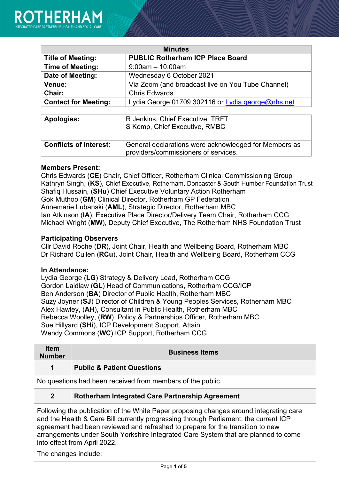| <b>Minutes</b>              |                                                   |  |
|-----------------------------|---------------------------------------------------|--|
| <b>Title of Meeting:</b>    | <b>PUBLIC Rotherham ICP Place Board</b>           |  |
| <b>Time of Meeting:</b>     | $9:00$ am $-10:00$ am                             |  |
| Date of Meeting:            | Wednesday 6 October 2021                          |  |
| <b>Venue:</b>               | Via Zoom (and broadcast live on You Tube Channel) |  |
| Chair:                      | <b>Chris Edwards</b>                              |  |
| <b>Contact for Meeting:</b> | Lydia George 01709 302116 or Lydia.george@nhs.net |  |
|                             |                                                   |  |

| Apologies:                    | R Jenkins, Chief Executive, TRFT<br>$\overline{\phantom{a}}$ S Kemp, Chief Executive, RMBC    |
|-------------------------------|-----------------------------------------------------------------------------------------------|
| <b>Conflicts of Interest:</b> | General declarations were acknowledged for Members as<br>providers/commissioners of services. |

### **Members Present:**

Chris Edwards (**CE**) Chair, Chief Officer, Rotherham Clinical Commissioning Group Kathryn Singh, (**KS**), Chief Executive, Rotherham, Doncaster & South Humber Foundation Trust Shafiq Hussain, (**SHu**) Chief Executive Voluntary Action Rotherham Gok Muthoo (**GM**) Clinical Director, Rotherham GP Federation Annemarie Lubanski (**AML**), Strategic Director, Rotherham MBC Ian Atkinson (**IA**), Executive Place Director/Delivery Team Chair, Rotherham CCG Michael Wright (**MW**), Deputy Chief Executive, The Rotherham NHS Foundation Trust

### **Participating Observers**

Cllr David Roche (**DR**), Joint Chair, Health and Wellbeing Board, Rotherham MBC Dr Richard Cullen (**RCu**), Joint Chair, Health and Wellbeing Board, Rotherham CCG

#### **In Attendance:**

Lydia George (**LG**) Strategy & Delivery Lead, Rotherham CCG Gordon Laidlaw (**GL**) Head of Communications, Rotherham CCG/ICP Ben Anderson (**BA**) Director of Public Health, Rotherham MBC Suzy Joyner (**SJ**) Director of Children & Young Peoples Services, Rotherham MBC Alex Hawley, (**AH**), Consultant in Public Health, Rotherham MBC Rebecca Woolley, (**RW**), Policy & Partnerships Officer, Rotherham MBC Sue Hillyard (**SHi**), ICP Development Support, Attain Wendy Commons (**WC**) ICP Support, Rotherham CCG

| <b>Item</b><br><b>Number</b>                                                                                                                                                                                                                                                                                                                           | <b>Business Items</b>                                      |
|--------------------------------------------------------------------------------------------------------------------------------------------------------------------------------------------------------------------------------------------------------------------------------------------------------------------------------------------------------|------------------------------------------------------------|
| 1                                                                                                                                                                                                                                                                                                                                                      | <b>Public &amp; Patient Questions</b>                      |
|                                                                                                                                                                                                                                                                                                                                                        | No questions had been received from members of the public. |
| $\overline{2}$                                                                                                                                                                                                                                                                                                                                         | Rotherham Integrated Care Partnership Agreement            |
| Following the publication of the White Paper proposing changes around integrating care<br>and the Health & Care Bill currently progressing through Parliament, the current ICP<br>agreement had been reviewed and refreshed to prepare for the transition to new<br>arrangements under South Yorkshire Integrated Care System that are planned to come |                                                            |

arrangements under South Yorkshire Integrated Care System that are planned to come into effect from April 2022.

The changes include: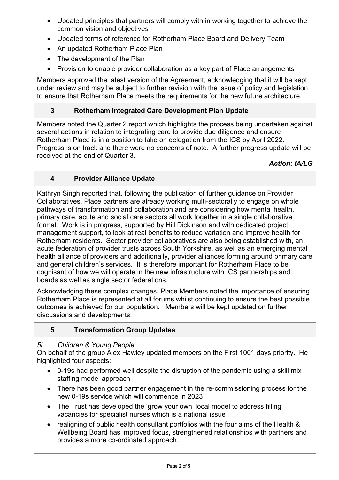- Updated principles that partners will comply with in working together to achieve the common vision and objectives
- Updated terms of reference for Rotherham Place Board and Delivery Team
- An updated Rotherham Place Plan
- The development of the Plan
- Provision to enable provider collaboration as a key part of Place arrangements

Members approved the latest version of the Agreement, acknowledging that it will be kept under review and may be subject to further revision with the issue of policy and legislation to ensure that Rotherham Place meets the requirements for the new future architecture.

# **3 Rotherham Integrated Care Development Plan Update**

Members noted the Quarter 2 report which highlights the process being undertaken against several actions in relation to integrating care to provide due diligence and ensure Rotherham Place is in a position to take on delegation from the ICS by April 2022. Progress is on track and there were no concerns of note. A further progress update will be received at the end of Quarter 3.

# *Action: IA/LG*

# **4 Provider Alliance Update**

Kathryn Singh reported that, following the publication of further guidance on Provider Collaboratives, Place partners are already working multi-sectorally to engage on whole pathways of transformation and collaboration and are considering how mental health, primary care, acute and social care sectors all work together in a single collaborative format. Work is in progress, supported by Hill Dickinson and with dedicated project management support, to look at real benefits to reduce variation and improve health for Rotherham residents. Sector provider collaboratives are also being established with, an acute federation of provider trusts across South Yorkshire, as well as an emerging mental health alliance of providers and additionally, provider alliances forming around primary care and general children's services. It is therefore important for Rotherham Place to be cognisant of how we will operate in the new infrastructure with ICS partnerships and boards as well as single sector federations.

Acknowledging these complex changes, Place Members noted the importance of ensuring Rotherham Place is represented at all forums whilst continuing to ensure the best possible outcomes is achieved for our population. Members will be kept updated on further discussions and developments.

# **5 Transformation Group Updates**

# *5i Children & Young People*

On behalf of the group Alex Hawley updated members on the First 1001 days priority. He highlighted four aspects:

- 0-19s had performed well despite the disruption of the pandemic using a skill mix staffing model approach
- There has been good partner engagement in the re-commissioning process for the new 0-19s service which will commence in 2023
- The Trust has developed the 'grow your own' local model to address filling vacancies for specialist nurses which is a national issue
- realigning of public health consultant portfolios with the four aims of the Health & Wellbeing Board has improved focus, strengthened relationships with partners and provides a more co-ordinated approach.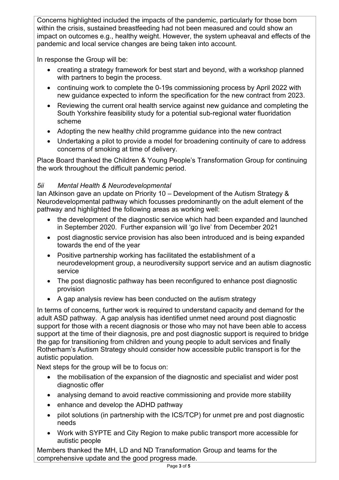Concerns highlighted included the impacts of the pandemic, particularly for those born within the crisis, sustained breastfeeding had not been measured and could show an impact on outcomes e.g., healthy weight. However, the system upheaval and effects of the pandemic and local service changes are being taken into account.

In response the Group will be:

- creating a strategy framework for best start and beyond, with a workshop planned with partners to begin the process.
- continuing work to complete the 0-19s commissioning process by April 2022 with new guidance expected to inform the specification for the new contract from 2023.
- Reviewing the current oral health service against new guidance and completing the South Yorkshire feasibility study for a potential sub-regional water fluoridation scheme
- Adopting the new healthy child programme guidance into the new contract
- Undertaking a pilot to provide a model for broadening continuity of care to address concerns of smoking at time of delivery.

Place Board thanked the Children & Young People's Transformation Group for continuing the work throughout the difficult pandemic period.

# *5ii Mental Health & Neurodevelopmental*

Ian Atkinson gave an update on Priority 10 – Development of the Autism Strategy & Neurodevelopmental pathway which focusses predominantly on the adult element of the pathway and highlighted the following areas as working well:

- the development of the diagnostic service which had been expanded and launched in September 2020. Further expansion will 'go live' from December 2021
- post diagnostic service provision has also been introduced and is being expanded towards the end of the year
- Positive partnership working has facilitated the establishment of a neurodevelopment group, a neurodiversity support service and an autism diagnostic service
- The post diagnostic pathway has been reconfigured to enhance post diagnostic provision
- A gap analysis review has been conducted on the autism strategy

In terms of concerns, further work is required to understand capacity and demand for the adult ASD pathway. A gap analysis has identified unmet need around post diagnostic support for those with a recent diagnosis or those who may not have been able to access support at the time of their diagnosis, pre and post diagnostic support is required to bridge the gap for transitioning from children and young people to adult services and finally Rotherham's Autism Strategy should consider how accessible public transport is for the autistic population.

Next steps for the group will be to focus on:

- the mobilisation of the expansion of the diagnostic and specialist and wider post diagnostic offer
- analysing demand to avoid reactive commissioning and provide more stability
- enhance and develop the ADHD pathway
- pilot solutions (in partnership with the ICS/TCP) for unmet pre and post diagnostic needs
- Work with SYPTE and City Region to make public transport more accessible for autistic people

Members thanked the MH, LD and ND Transformation Group and teams for the comprehensive update and the good progress made.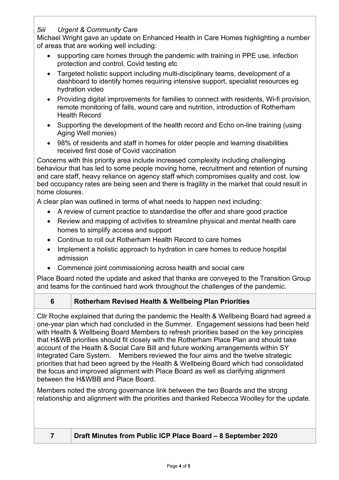# *5iii Urgent & Community Care*

Michael Wright gave an update on Enhanced Health in Care Homes highlighting a number of areas that are working well including:

- supporting care homes through the pandemic with training in PPE use, infection protection and control, Covid testing etc
- Targeted holistic support including multi-disciplinary teams, development of a dashboard to identify homes requiring intensive support, specialist resources eg hydration video
- Providing digital improvements for families to connect with residents, Wi-fi provision, remote monitoring of falls, wound care and nutrition, introduction of Rotherham Health Record
- Supporting the development of the health record and Echo on-line training (using Aging Well monies)
- 98% of residents and staff in homes for older people and learning disabilities received first dose of Covid vaccination

Concerns with this priority area include increased complexity including challenging behaviour that has led to some people moving home, recruitment and retention of nursing and care staff, heavy reliance on agency staff which compromises quality and cost, low bed occupancy rates are being seen and there is fragility in the market that could result in home closures.

A clear plan was outlined in terms of what needs to happen next including:

- A review of current practice to standardise the offer and share good practice
- Review and mapping of activities to streamline physical and mental health care homes to simplify access and support
- Continue to roll out Rotherham Health Record to care homes
- Implement a holistic approach to hydration in care homes to reduce hospital admission
- Commence joint commissioning across health and social care

Place Board noted the update and asked that thanks are conveyed to the Transition Group and teams for the continued hard work throughout the challenges of the pandemic.

### **6 Rotherham Revised Health & Wellbeing Plan Priorities**

Cllr Roche explained that during the pandemic the Health & Wellbeing Board had agreed a one-year plan which had concluded in the Summer. Engagement sessions had been held with Health & Wellbeing Board Members to refresh priorities based on the key principles that H&WB priorities should fit closely with the Rotherham Place Plan and should take account of the Health & Social Care Bill and future working arrangements within SY Integrated Care System. Members reviewed the four aims and the twelve strategic priorities that had been agreed by the Health & Wellbeing Board which had consolidated the focus and improved alignment with Place Board as well as clarifying alignment between the H&WBB and Place Board.

Members noted the strong governance link between the two Boards and the strong relationship and alignment with the priorities and thanked Rebecca Woolley for the update.

### **7 Draft Minutes from Public ICP Place Board – 8 September 2020**